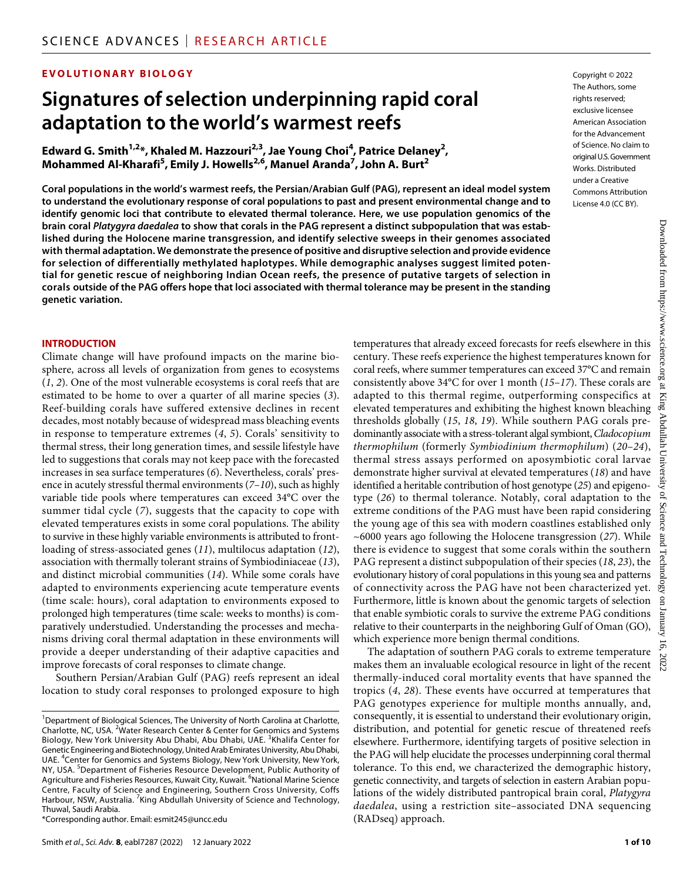# **EVOLUTIONARY BIOLOGY**

# **Signatures of selection underpinning rapid coral adaptation to the world's warmest reefs**

Edward G. Smith<sup>1,2</sup>\*, Khaled M. Hazzouri<sup>2,3</sup>, Jae Young Choi<sup>4</sup>, Patrice Delaney<sup>2</sup>, **Mohammed Al-Kharafi5 , Emily J. Howells2,6 , Manuel Aranda7 , John A. Burt2**

**Coral populations in the world's warmest reefs, the Persian/Arabian Gulf (PAG), represent an ideal model system to understand the evolutionary response of coral populations to past and present environmental change and to identify genomic loci that contribute to elevated thermal tolerance. Here, we use population genomics of the brain coral** *Platygyra daedalea* **to show that corals in the PAG represent a distinct subpopulation that was established during the Holocene marine transgression, and identify selective sweeps in their genomes associated with thermal adaptation. We demonstrate the presence of positive and disruptive selection and provide evidence for selection of differentially methylated haplotypes. While demographic analyses suggest limited potential for genetic rescue of neighboring Indian Ocean reefs, the presence of putative targets of selection in corals outside of the PAG offers hope that loci associated with thermal tolerance may be present in the standing genetic variation.**

#### **INTRODUCTION**

Climate change will have profound impacts on the marine biosphere, across all levels of organization from genes to ecosystems (*1*, *2*). One of the most vulnerable ecosystems is coral reefs that are estimated to be home to over a quarter of all marine species (*3*). Reef-building corals have suffered extensive declines in recent decades, most notably because of widespread mass bleaching events in response to temperature extremes (*4*, *5*). Corals' sensitivity to thermal stress, their long generation times, and sessile lifestyle have led to suggestions that corals may not keep pace with the forecasted increases in sea surface temperatures (*6*). Nevertheless, corals' presence in acutely stressful thermal environments (*7*–*10*), such as highly variable tide pools where temperatures can exceed 34°C over the summer tidal cycle (*7*), suggests that the capacity to cope with elevated temperatures exists in some coral populations. The ability to survive in these highly variable environments is attributed to frontloading of stress-associated genes (*11*), multilocus adaptation (*12*), association with thermally tolerant strains of Symbiodiniaceae (*13*), and distinct microbial communities (*14*). While some corals have adapted to environments experiencing acute temperature events (time scale: hours), coral adaptation to environments exposed to prolonged high temperatures (time scale: weeks to months) is comparatively understudied. Understanding the processes and mechanisms driving coral thermal adaptation in these environments will provide a deeper understanding of their adaptive capacities and improve forecasts of coral responses to climate change.

Southern Persian/Arabian Gulf (PAG) reefs represent an ideal location to study coral responses to prolonged exposure to high

\*Corresponding author. Email: [esmit245@uncc.edu](mailto:esmit245@uncc.edu)

Copyright © 2022 The Authors, some rights reserved: exclusive licensee American Association for the Advancement of Science. No claim to original U.S.Government Works. Distributed under a Creative Commons Attribution License 4.0 (CC BY).

temperatures that already exceed forecasts for reefs elsewhere in this century. These reefs experience the highest temperatures known for coral reefs, where summer temperatures can exceed 37°C and remain consistently above 34°C for over 1 month (*15*–*17*). These corals are adapted to this thermal regime, outperforming conspecifics at elevated temperatures and exhibiting the highest known bleaching thresholds globally (*15*, *18*, *19*). While southern PAG corals predominantly associate with a stress-tolerant algal symbiont, *Cladocopium thermophilum* (formerly *Symbiodinium thermophilum*) (*20*–*24*), thermal stress assays performed on aposymbiotic coral larvae demonstrate higher survival at elevated temperatures (*18*) and have identified a heritable contribution of host genotype (*25*) and epigenotype (*26*) to thermal tolerance. Notably, coral adaptation to the extreme conditions of the PAG must have been rapid considering the young age of this sea with modern coastlines established only ~6000 years ago following the Holocene transgression (*27*). While there is evidence to suggest that some corals within the southern PAG represent a distinct subpopulation of their species (*18*, *23*), the evolutionary history of coral populations in this young sea and patterns of connectivity across the PAG have not been characterized yet. Furthermore, little is known about the genomic targets of selection that enable symbiotic corals to survive the extreme PAG conditions relative to their counterparts in the neighboring Gulf of Oman (GO), which experience more benign thermal conditions.

The adaptation of southern PAG corals to extreme temperature makes them an invaluable ecological resource in light of the recent thermally-induced coral mortality events that have spanned the tropics (*4*, *28*). These events have occurred at temperatures that PAG genotypes experience for multiple months annually, and, consequently, it is essential to understand their evolutionary origin, distribution, and potential for genetic rescue of threatened reefs elsewhere. Furthermore, identifying targets of positive selection in the PAG will help elucidate the processes underpinning coral thermal tolerance. To this end, we characterized the demographic history, genetic connectivity, and targets of selection in eastern Arabian populations of the widely distributed pantropical brain coral, *Platygyra daedalea*, using a restriction site–associated DNA sequencing (RADseq) approach.

<sup>&</sup>lt;sup>1</sup>Department of Biological Sciences, The University of North Carolina at Charlotte, Charlotte, NC, USA. <sup>2</sup>Water Research Center & Center for Genomics and Systems Biology, New York University Abu Dhabi, Abu Dhabi, UAE. <sup>3</sup>Khalifa Center for Genetic Engineering and Biotechnology, United Arab Emirates University, Abu Dhabi, UAE. <sup>4</sup> Center for Genomics and Systems Biology, New York University, New York, NY, USA. <sup>5</sup>Department of Fisheries Resource Development, Public Authority of Agriculture and Fisheries Resources, Kuwait City, Kuwait. <sup>6</sup>National Marine Science Centre, Faculty of Science and Engineering, Southern Cross University, Coffs Harbour, NSW, Australia. <sup>7</sup> King Abdullah University of Science and Technology, Thuwal, Saudi Arabia.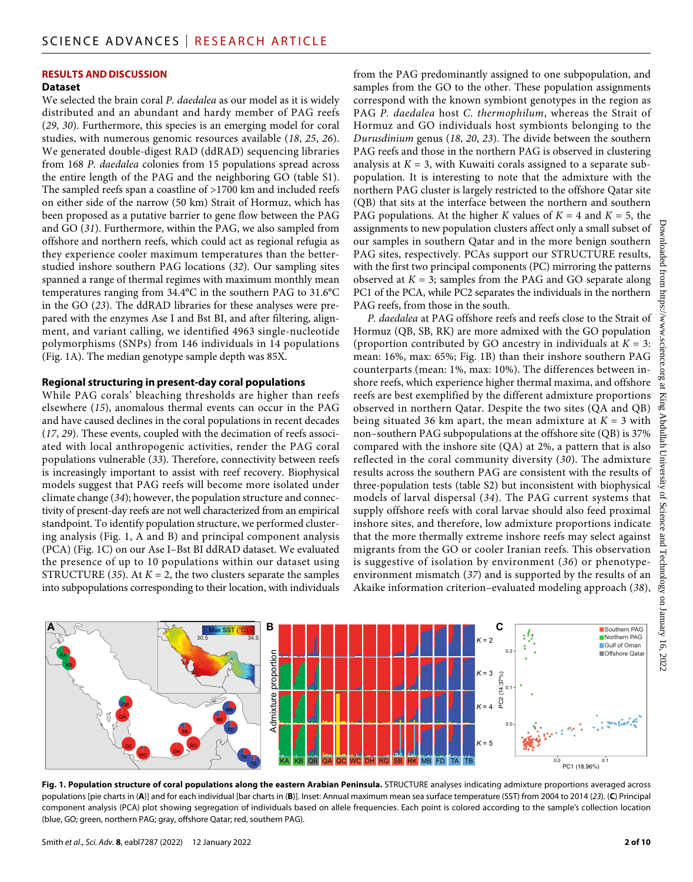# **RESULTS AND DISCUSSION**

## **Dataset**

We selected the brain coral *P. daedalea* as our model as it is widely distributed and an abundant and hardy member of PAG reefs (*29*, *30*). Furthermore, this species is an emerging model for coral studies, with numerous genomic resources available (*18*, *25*, *26*). We generated double-digest RAD (ddRAD) sequencing libraries from 168 *P. daedalea* colonies from 15 populations spread across the entire length of the PAG and the neighboring GO (table S1). The sampled reefs span a coastline of >1700 km and included reefs on either side of the narrow (50 km) Strait of Hormuz, which has been proposed as a putative barrier to gene flow between the PAG and GO (*31*). Furthermore, within the PAG, we also sampled from offshore and northern reefs, which could act as regional refugia as they experience cooler maximum temperatures than the betterstudied inshore southern PAG locations (*32*). Our sampling sites spanned a range of thermal regimes with maximum monthly mean temperatures ranging from 34.4°C in the southern PAG to 31.6°C in the GO (*23*). The ddRAD libraries for these analyses were prepared with the enzymes Ase I and Bst BI, and after filtering, alignment, and variant calling, we identified 4963 single-nucleotide polymorphisms (SNPs) from 146 individuals in 14 populations (Fig. 1A). The median genotype sample depth was 85X.

# **Regional structuring in present-day coral populations**

While PAG corals' bleaching thresholds are higher than reefs elsewhere (*15*), anomalous thermal events can occur in the PAG and have caused declines in the coral populations in recent decades (*17*, *29*). These events, coupled with the decimation of reefs associated with local anthropogenic activities, render the PAG coral populations vulnerable (*33*). Therefore, connectivity between reefs is increasingly important to assist with reef recovery. Biophysical models suggest that PAG reefs will become more isolated under climate change (*34*); however, the population structure and connectivity of present-day reefs are not well characterized from an empirical standpoint. To identify population structure, we performed clustering analysis (Fig. 1, A and B) and principal component analysis (PCA) (Fig. 1C) on our Ase I–Bst BI ddRAD dataset. We evaluated the presence of up to 10 populations within our dataset using STRUCTURE  $(35)$ . At  $K = 2$ , the two clusters separate the samples into subpopulations corresponding to their location, with individuals

from the PAG predominantly assigned to one subpopulation, and samples from the GO to the other. These population assignments correspond with the known symbiont genotypes in the region as PAG *P. daedalea* host *C. thermophilum*, whereas the Strait of Hormuz and GO individuals host symbionts belonging to the *Durusdinium* genus (*18*, *20*, *23*). The divide between the southern PAG reefs and those in the northern PAG is observed in clustering analysis at  $K = 3$ , with Kuwaiti corals assigned to a separate subpopulation. It is interesting to note that the admixture with the northern PAG cluster is largely restricted to the offshore Qatar site (QB) that sits at the interface between the northern and southern PAG populations. At the higher *K* values of  $K = 4$  and  $K = 5$ , the assignments to new population clusters affect only a small subset of our samples in southern Qatar and in the more benign southern PAG sites, respectively. PCAs support our STRUCTURE results, with the first two principal components (PC) mirroring the patterns observed at  $K = 3$ ; samples from the PAG and GO separate along PC1 of the PCA, while PC2 separates the individuals in the northern PAG reefs, from those in the south.

*P. daedalea* at PAG offshore reefs and reefs close to the Strait of Hormuz (QB, SB, RK) are more admixed with the GO population (proportion contributed by GO ancestry in individuals at  $K = 3$ : mean: 16%, max: 65%; Fig. 1B) than their inshore southern PAG counterparts (mean: 1%, max: 10%). The differences between inshore reefs, which experience higher thermal maxima, and offshore reefs are best exemplified by the different admixture proportions observed in northern Qatar. Despite the two sites (QA and QB) being situated 36 km apart, the mean admixture at  $K = 3$  with non–southern PAG subpopulations at the offshore site (QB) is 37% compared with the inshore site (QA) at 2%, a pattern that is also reflected in the coral community diversity (*30*). The admixture results across the southern PAG are consistent with the results of three-population tests (table S2) but inconsistent with biophysical models of larval dispersal (*34*). The PAG current systems that supply offshore reefs with coral larvae should also feed proximal inshore sites, and therefore, low admixture proportions indicate that the more thermally extreme inshore reefs may select against migrants from the GO or cooler Iranian reefs. This observation is suggestive of isolation by environment (*36*) or phenotypeenvironment mismatch (*37*) and is supported by the results of an Akaike information criterion–evaluated modeling approach (*38*),



**Fig. 1. Population structure of coral populations along the eastern Arabian Peninsula.** STRUCTURE analyses indicating admixture proportions averaged across populations [pie charts in (**A**)] and for each individual [bar charts in (**B**)]. Inset: Annual maximum mean sea surface temperature (SST) from 2004 to 2014 (*23*). (**C**) Principal component analysis (PCA) plot showing segregation of individuals based on allele frequencies. Each point is colored according to the sample's collection location (blue, GO; green, northern PAG; gray, offshore Qatar; red, southern PAG).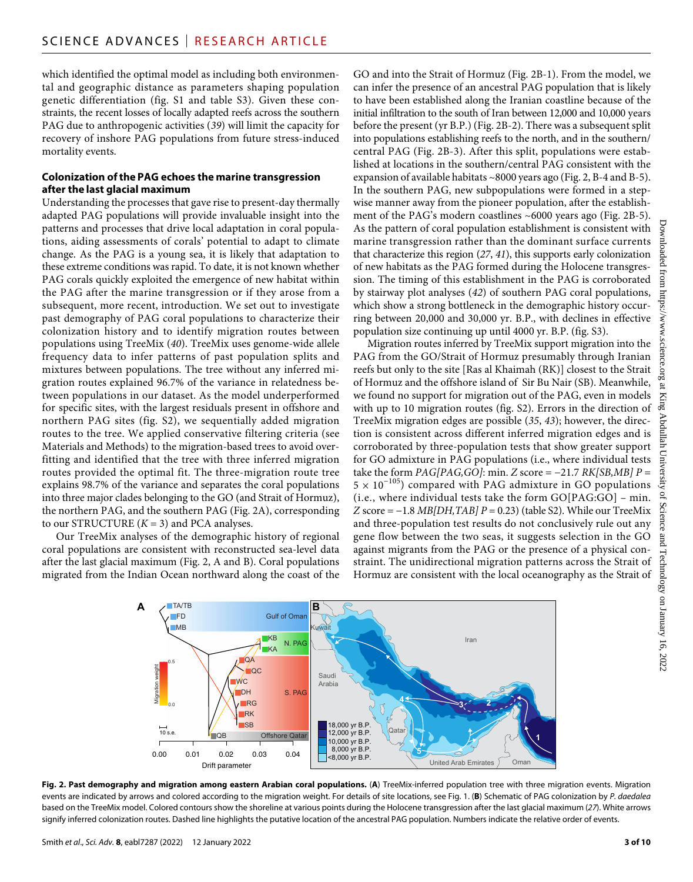which identified the optimal model as including both environmental and geographic distance as parameters shaping population genetic differentiation (fig. S1 and table S3). Given these constraints, the recent losses of locally adapted reefs across the southern PAG due to anthropogenic activities (*39*) will limit the capacity for recovery of inshore PAG populations from future stress-induced mortality events.

# **Colonization ofthe PAG echoes the marine transgression after the last glacial maximum**

Understanding the processes that gave rise to present-day thermally adapted PAG populations will provide invaluable insight into the patterns and processes that drive local adaptation in coral populations, aiding assessments of corals' potential to adapt to climate change. As the PAG is a young sea, it is likely that adaptation to these extreme conditions was rapid. To date, it is not known whether PAG corals quickly exploited the emergence of new habitat within the PAG after the marine transgression or if they arose from a subsequent, more recent, introduction. We set out to investigate past demography of PAG coral populations to characterize their colonization history and to identify migration routes between populations using TreeMix (*40*). TreeMix uses genome-wide allele frequency data to infer patterns of past population splits and mixtures between populations. The tree without any inferred migration routes explained 96.7% of the variance in relatedness between populations in our dataset. As the model underperformed for specific sites, with the largest residuals present in offshore and northern PAG sites (fig. S2), we sequentially added migration routes to the tree. We applied conservative filtering criteria (see Materials and Methods) to the migration-based trees to avoid overfitting and identified that the tree with three inferred migration routes provided the optimal fit. The three-migration route tree explains 98.7% of the variance and separates the coral populations into three major clades belonging to the GO (and Strait of Hormuz), the northern PAG, and the southern PAG (Fig. 2A), corresponding to our STRUCTURE  $(K = 3)$  and PCA analyses.

Our TreeMix analyses of the demographic history of regional coral populations are consistent with reconstructed sea-level data after the last glacial maximum (Fig. 2, A and B). Coral populations migrated from the Indian Ocean northward along the coast of the GO and into the Strait of Hormuz (Fig. 2B-1). From the model, we can infer the presence of an ancestral PAG population that is likely to have been established along the Iranian coastline because of the initial infiltration to the south of Iran between 12,000 and 10,000 years before the present (yr B.P.) (Fig. 2B-2). There was a subsequent split into populations establishing reefs to the north, and in the southern/ central PAG (Fig. 2B-3). After this split, populations were established at locations in the southern/central PAG consistent with the expansion of available habitats ~8000 years ago (Fig. 2, B-4 and B-5). In the southern PAG, new subpopulations were formed in a stepwise manner away from the pioneer population, after the establishment of the PAG's modern coastlines ~6000 years ago (Fig. 2B-5). As the pattern of coral population establishment is consistent with marine transgression rather than the dominant surface currents that characterize this region (*27*, *41*), this supports early colonization of new habitats as the PAG formed during the Holocene transgression. The timing of this establishment in the PAG is corroborated by stairway plot analyses (*42*) of southern PAG coral populations, which show a strong bottleneck in the demographic history occurring between 20,000 and 30,000 yr. B.P., with declines in effective population size continuing up until 4000 yr. B.P. (fig. S3).

Migration routes inferred by TreeMix support migration into the PAG from the GO/Strait of Hormuz presumably through Iranian reefs but only to the site [Ras al Khaimah (RK)] closest to the Strait of Hormuz and the offshore island of Sir Bu Nair (SB). Meanwhile, we found no support for migration out of the PAG, even in models with up to 10 migration routes (fig. S2). Errors in the direction of TreeMix migration edges are possible (*35*, *43*); however, the direction is consistent across different inferred migration edges and is corroborated by three-population tests that show greater support for GO admixture in PAG populations (i.e., where individual tests take the form *PAG[PAG,GO]*: min. *Z* score = −21.7 *RK[SB,MB] P* =  $5 \times 10^{-105}$ ) compared with PAG admixture in GO populations (i.e., where individual tests take the form GO[PAG:GO] – min. *Z* score = −1.8 *MB*[*DH*, *TAB*] *P* = 0.23) (table S2). While our TreeMix and three-population test results do not conclusively rule out any gene flow between the two seas, it suggests selection in the GO against migrants from the PAG or the presence of a physical constraint. The unidirectional migration patterns across the Strait of Hormuz are consistent with the local oceanography as the Strait of



Fig. 2. Past demography and migration among eastern Arabian coral populations. (A) TreeMix-inferred population tree with three migration events. Migration events are indicated by arrows and colored according to the migration weight. For details of site locations, see Fig. 1. (**B**) Schematic of PAG colonization by *P. daedalea* based on the TreeMix model. Colored contours show the shoreline at various points during the Holocene transgression after the last glacial maximum (*27*). White arrows signify inferred colonization routes. Dashed line highlights the putative location of the ancestral PAG population. Numbers indicate the relative order of events.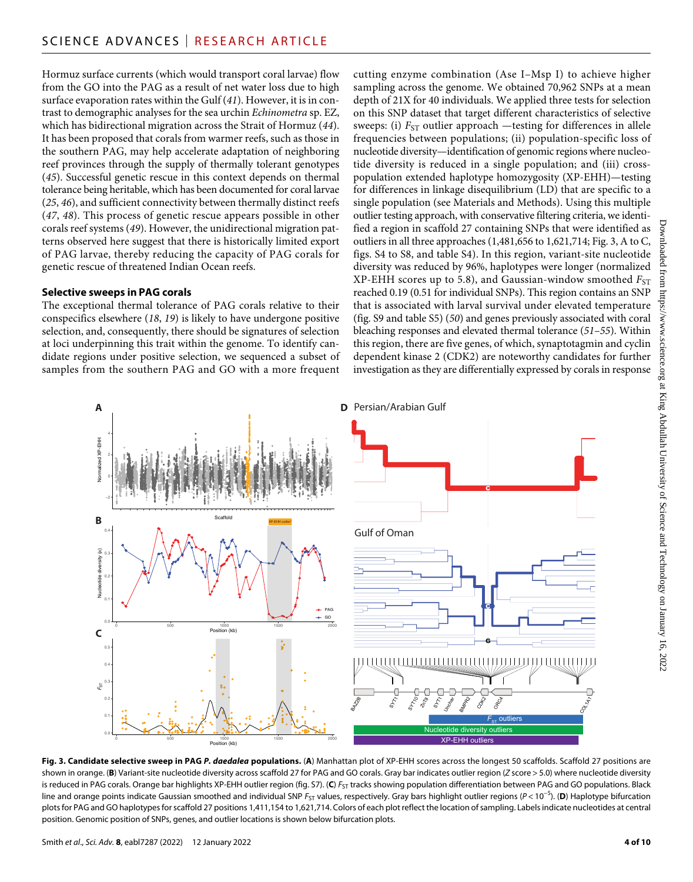Hormuz surface currents (which would transport coral larvae) flow from the GO into the PAG as a result of net water loss due to high surface evaporation rates within the Gulf (*41*). However, it is in contrast to demographic analyses for the sea urchin *Echinometra* sp. EZ, which has bidirectional migration across the Strait of Hormuz (*44*). It has been proposed that corals from warmer reefs, such as those in the southern PAG, may help accelerate adaptation of neighboring reef provinces through the supply of thermally tolerant genotypes (*45*). Successful genetic rescue in this context depends on thermal tolerance being heritable, which has been documented for coral larvae (*25*, *46*), and sufficient connectivity between thermally distinct reefs (*47*, *48*). This process of genetic rescue appears possible in other corals reef systems (*49*). However, the unidirectional migration patterns observed here suggest that there is historically limited export of PAG larvae, thereby reducing the capacity of PAG corals for genetic rescue of threatened Indian Ocean reefs.

# **Selective sweeps in PAG corals**

The exceptional thermal tolerance of PAG corals relative to their conspecifics elsewhere (*18*, *19*) is likely to have undergone positive selection, and, consequently, there should be signatures of selection at loci underpinning this trait within the genome. To identify candidate regions under positive selection, we sequenced a subset of samples from the southern PAG and GO with a more frequent

cutting enzyme combination (Ase I–Msp I) to achieve higher sampling across the genome. We obtained 70,962 SNPs at a mean depth of 21X for 40 individuals. We applied three tests for selection on this SNP dataset that target different characteristics of selective sweeps: (i)  $F_{ST}$  outlier approach —testing for differences in allele frequencies between populations; (ii) population-specific loss of nucleotide diversity—identification of genomic regions where nucleotide diversity is reduced in a single population; and (iii) crosspopulation extended haplotype homozygosity (XP-EHH)—testing for differences in linkage disequilibrium (LD) that are specific to a single population (see Materials and Methods). Using this multiple outlier testing approach, with conservative filtering criteria, we identified a region in scaffold 27 containing SNPs that were identified as outliers in all three approaches (1,481,656 to 1,621,714; Fig. 3, A to C, figs. S4 to S8, and table S4). In this region, variant-site nucleotide diversity was reduced by 96%, haplotypes were longer (normalized  $XP$ -EHH scores up to 5.8), and Gaussian-window smoothed  $F_{ST}$ reached 0.19 (0.51 for individual SNPs). This region contains an SNP that is associated with larval survival under elevated temperature (fig. S9 and table S5) (*50*) and genes previously associated with coral bleaching responses and elevated thermal tolerance (*51*–*55*). Within this region, there are five genes, of which, synaptotagmin and cyclin dependent kinase 2 (CDK2) are noteworthy candidates for further investigation as they are differentially expressed by corals in response



Fig. 3. Candidate selective sweep in PAG P. daedalea populations. (A) Manhattan plot of XP-EHH scores across the longest 50 scaffolds. Scaffold 27 positions are shown in orange. (**B**) Variant-site nucleotide diversity across scaffold 27 for PAG and GO corals. Gray bar indicates outlier region (*Z* score > 5.0) where nucleotide diversity is reduced in PAG corals. Orange bar highlights XP-EHH outlier region (fig. S7). (C)  $F_{ST}$  tracks showing population differentiation between PAG and GO populations. Black line and orange points indicate Gaussian smoothed and individual SNP *F*<sub>ST</sub> values, respectively. Gray bars highlight outlier regions (*P* < 10<sup>-5</sup>). (**D**) Haplotype bifurcation plots for PAG and GO haplotypes for scaffold 27 positions 1,411,154 to 1,621,714. Colors of each plot reflect the location of sampling. Labels indicate nucleotides at central position. Genomic position of SNPs, genes, and outlier locations is shown below bifurcation plots.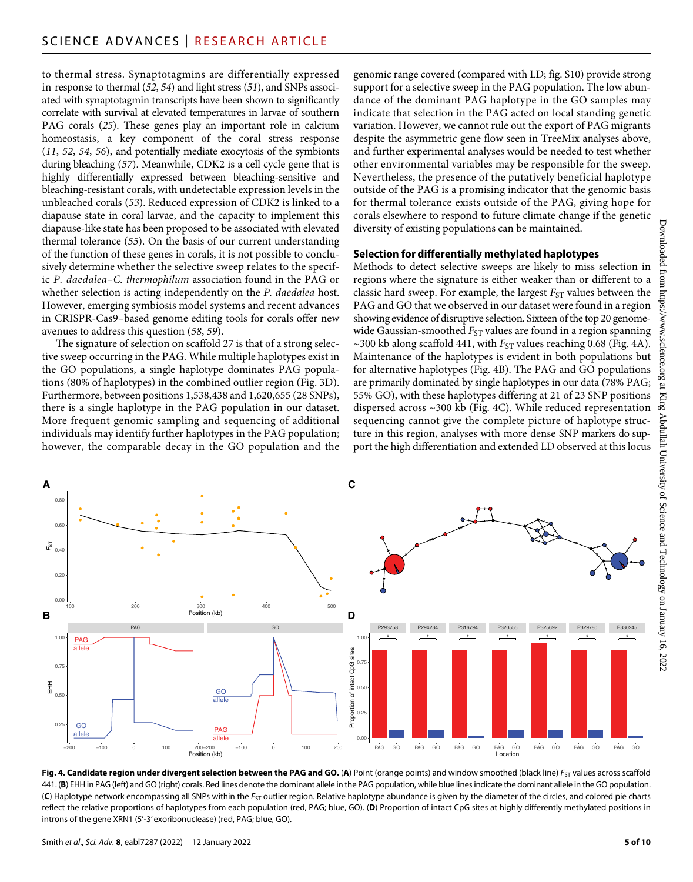to thermal stress. Synaptotagmins are differentially expressed in response to thermal (*52*, *54*) and light stress (*51*), and SNPs associated with synaptotagmin transcripts have been shown to significantly correlate with survival at elevated temperatures in larvae of southern PAG corals (*25*). These genes play an important role in calcium homeostasis, a key component of the coral stress response (*11*, *52*, *54*, *56*), and potentially mediate exocytosis of the symbionts during bleaching (*57*). Meanwhile, CDK2 is a cell cycle gene that is highly differentially expressed between bleaching-sensitive and bleaching-resistant corals, with undetectable expression levels in the unbleached corals (*53*). Reduced expression of CDK2 is linked to a diapause state in coral larvae, and the capacity to implement this diapause-like state has been proposed to be associated with elevated thermal tolerance (*55*). On the basis of our current understanding of the function of these genes in corals, it is not possible to conclusively determine whether the selective sweep relates to the specific *P. daedalea*–*C. thermophilum* association found in the PAG or whether selection is acting independently on the *P. daedalea* host. However, emerging symbiosis model systems and recent advances in CRISPR-Cas9–based genome editing tools for corals offer new avenues to address this question (*58*, *59*).

The signature of selection on scaffold 27 is that of a strong selective sweep occurring in the PAG. While multiple haplotypes exist in the GO populations, a single haplotype dominates PAG populations (80% of haplotypes) in the combined outlier region (Fig. 3D). Furthermore, between positions 1,538,438 and 1,620,655 (28 SNPs), there is a single haplotype in the PAG population in our dataset. More frequent genomic sampling and sequencing of additional individuals may identify further haplotypes in the PAG population; however, the comparable decay in the GO population and the genomic range covered (compared with LD; fig. S10) provide strong support for a selective sweep in the PAG population. The low abundance of the dominant PAG haplotype in the GO samples may indicate that selection in the PAG acted on local standing genetic variation. However, we cannot rule out the export of PAG migrants despite the asymmetric gene flow seen in TreeMix analyses above, and further experimental analyses would be needed to test whether other environmental variables may be responsible for the sweep. Nevertheless, the presence of the putatively beneficial haplotype outside of the PAG is a promising indicator that the genomic basis for thermal tolerance exists outside of the PAG, giving hope for corals elsewhere to respond to future climate change if the genetic diversity of existing populations can be maintained.

# **Selection for differentially methylated haplotypes**

Methods to detect selective sweeps are likely to miss selection in regions where the signature is either weaker than or different to a classic hard sweep. For example, the largest  $F_{ST}$  values between the PAG and GO that we observed in our dataset were found in a region showing evidence of disruptive selection. Sixteen of the top 20 genomewide Gaussian-smoothed *F*<sub>ST</sub> values are found in a region spanning  $\sim$ 300 kb along scaffold 441, with  $F_{ST}$  values reaching 0.68 (Fig. 4A). Maintenance of the haplotypes is evident in both populations but for alternative haplotypes (Fig. 4B). The PAG and GO populations are primarily dominated by single haplotypes in our data (78% PAG; 55% GO), with these haplotypes differing at 21 of 23 SNP positions dispersed across ~300 kb (Fig. 4C). While reduced representation sequencing cannot give the complete picture of haplotype structure in this region, analyses with more dense SNP markers do support the high differentiation and extended LD observed at this locus



**Fig. 4. Candidate region under divergent selection between the PAG and GO. (A**) Point (orange points) and window smoothed (black line) *F*<sub>ST</sub> values across scaffold 441. (**B**) EHH in PAG (left) and GO (right) corals. Red lines denote the dominant allele in the PAG population, while blue lines indicate the dominant allele in the GO population. (C) Haplotype network encompassing all SNPs within the *F<sub>ST</sub>* outlier region. Relative haplotype abundance is given by the diameter of the circles, and colored pie charts reflect the relative proportions of haplotypes from each population (red, PAG; blue, GO). (**D**) Proportion of intact CpG sites at highly differently methylated positions in introns of the gene XRN1 (5'-3' exoribonuclease) (red, PAG; blue, GO).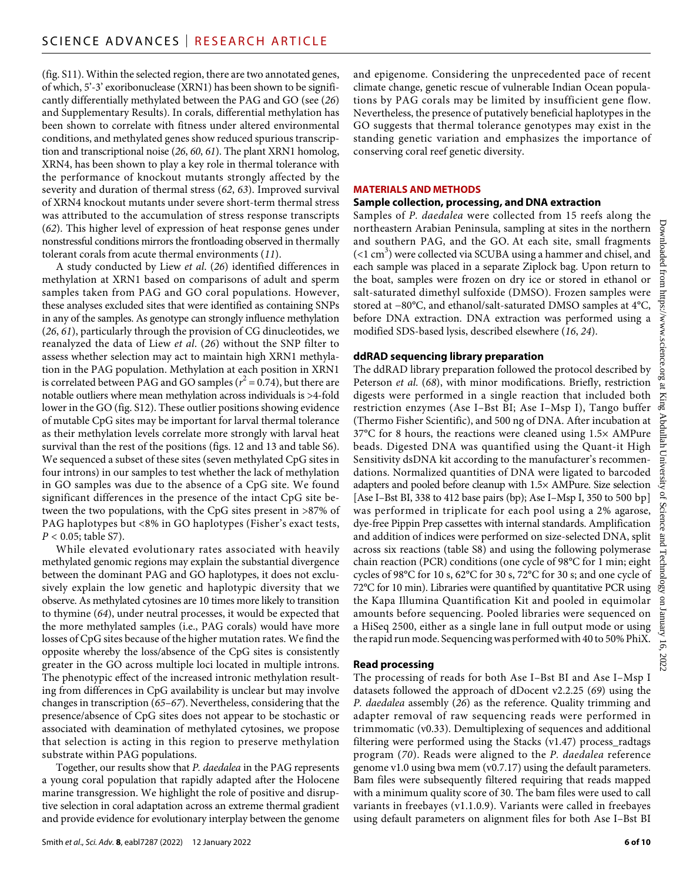(fig. S11). Within the selected region, there are two annotated genes, of which, 5'-3' exoribonuclease (XRN1) has been shown to be significantly differentially methylated between the PAG and GO (see (*26*) and Supplementary Results). In corals, differential methylation has been shown to correlate with fitness under altered environmental conditions, and methylated genes show reduced spurious transcription and transcriptional noise (*26*, *60*, *61*). The plant XRN1 homolog, XRN4, has been shown to play a key role in thermal tolerance with the performance of knockout mutants strongly affected by the severity and duration of thermal stress (*62*, *63*). Improved survival of XRN4 knockout mutants under severe short-term thermal stress was attributed to the accumulation of stress response transcripts (*62*). This higher level of expression of heat response genes under nonstressful conditions mirrors the frontloading observed in thermally tolerant corals from acute thermal environments (*11*).

A study conducted by Liew *et al*. (*26*) identified differences in methylation at XRN1 based on comparisons of adult and sperm samples taken from PAG and GO coral populations. However, these analyses excluded sites that were identified as containing SNPs in any of the samples. As genotype can strongly influence methylation (*26*, *61*), particularly through the provision of CG dinucleotides, we reanalyzed the data of Liew *et al*. (*26*) without the SNP filter to assess whether selection may act to maintain high XRN1 methylation in the PAG population. Methylation at each position in XRN1 is correlated between PAG and GO samples ( $r^2 = 0.74$ ), but there are notable outliers where mean methylation across individuals is >4-fold lower in the GO (fig. S12). These outlier positions showing evidence of mutable CpG sites may be important for larval thermal tolerance as their methylation levels correlate more strongly with larval heat survival than the rest of the positions (figs. 12 and 13 and table S6). We sequenced a subset of these sites (seven methylated CpG sites in four introns) in our samples to test whether the lack of methylation in GO samples was due to the absence of a CpG site. We found significant differences in the presence of the intact CpG site between the two populations, with the CpG sites present in >87% of PAG haplotypes but <8% in GO haplotypes (Fisher's exact tests, *P* < 0.05; table S7).

While elevated evolutionary rates associated with heavily methylated genomic regions may explain the substantial divergence between the dominant PAG and GO haplotypes, it does not exclusively explain the low genetic and haplotypic diversity that we observe. As methylated cytosines are 10 times more likely to transition to thymine (*64*), under neutral processes, it would be expected that the more methylated samples (i.e., PAG corals) would have more losses of CpG sites because of the higher mutation rates. We find the opposite whereby the loss/absence of the CpG sites is consistently greater in the GO across multiple loci located in multiple introns. The phenotypic effect of the increased intronic methylation resulting from differences in CpG availability is unclear but may involve changes in transcription (*65*–*67*). Nevertheless, considering that the presence/absence of CpG sites does not appear to be stochastic or associated with deamination of methylated cytosines, we propose that selection is acting in this region to preserve methylation substrate within PAG populations.

Together, our results show that *P. daedalea* in the PAG represents a young coral population that rapidly adapted after the Holocene marine transgression. We highlight the role of positive and disruptive selection in coral adaptation across an extreme thermal gradient and provide evidence for evolutionary interplay between the genome and epigenome. Considering the unprecedented pace of recent climate change, genetic rescue of vulnerable Indian Ocean populations by PAG corals may be limited by insufficient gene flow. Nevertheless, the presence of putatively beneficial haplotypes in the GO suggests that thermal tolerance genotypes may exist in the standing genetic variation and emphasizes the importance of conserving coral reef genetic diversity.

# **MATERIALS AND METHODS**

## **Sample collection, processing, andDNA extraction**

Samples of *P. daedalea* were collected from 15 reefs along the northeastern Arabian Peninsula, sampling at sites in the northern and southern PAG, and the GO. At each site, small fragments  $(<$ 1 cm $^3$ ) were collected via SCUBA using a hammer and chisel, and each sample was placed in a separate Ziplock bag. Upon return to the boat, samples were frozen on dry ice or stored in ethanol or salt-saturated dimethyl sulfoxide (DMSO). Frozen samples were stored at −80°C, and ethanol/salt-saturated DMSO samples at 4°C, before DNA extraction. DNA extraction was performed using a modified SDS-based lysis, described elsewhere (*16*, *24*).

# **ddRAD sequencing library preparation**

The ddRAD library preparation followed the protocol described by Peterson *et al*. (*68*), with minor modifications. Briefly, restriction digests were performed in a single reaction that included both restriction enzymes (Ase I–Bst BI; Ase I–Msp I), Tango buffer (Thermo Fisher Scientific), and 500 ng of DNA. After incubation at 37°C for 8 hours, the reactions were cleaned using 1.5× AMPure beads. Digested DNA was quantified using the Quant-it High Sensitivity dsDNA kit according to the manufacturer's recommendations. Normalized quantities of DNA were ligated to barcoded adapters and pooled before cleanup with 1.5× AMPure. Size selection [Ase I–Bst BI, 338 to 412 base pairs (bp); Ase I–Msp I, 350 to 500 bp] was performed in triplicate for each pool using a 2% agarose, dye-free Pippin Prep cassettes with internal standards. Amplification and addition of indices were performed on size-selected DNA, split across six reactions (table S8) and using the following polymerase chain reaction (PCR) conditions (one cycle of 98°C for 1 min; eight cycles of 98°C for 10 s, 62°C for 30 s, 72°C for 30 s; and one cycle of 72°C for 10 min). Libraries were quantified by quantitative PCR using the Kapa Illumina Quantification Kit and pooled in equimolar amounts before sequencing. Pooled libraries were sequenced on a HiSeq 2500, either as a single lane in full output mode or using the rapid run mode. Sequencing was performed with 40 to 50% PhiX.

# **Read processing**

The processing of reads for both Ase I–Bst BI and Ase I–Msp I datasets followed the approach of dDocent v2.2.25 (*69*) using the *P. daedalea* assembly (*26*) as the reference. Quality trimming and adapter removal of raw sequencing reads were performed in trimmomatic (v0.33). Demultiplexing of sequences and additional filtering were performed using the Stacks (v1.47) process\_radtags program (*70*). Reads were aligned to the *P. daedalea* reference genome v1.0 using bwa mem (v0.7.17) using the default parameters. Bam files were subsequently filtered requiring that reads mapped with a minimum quality score of 30. The bam files were used to call variants in freebayes (v1.1.0.9). Variants were called in freebayes using default parameters on alignment files for both Ase I–Bst BI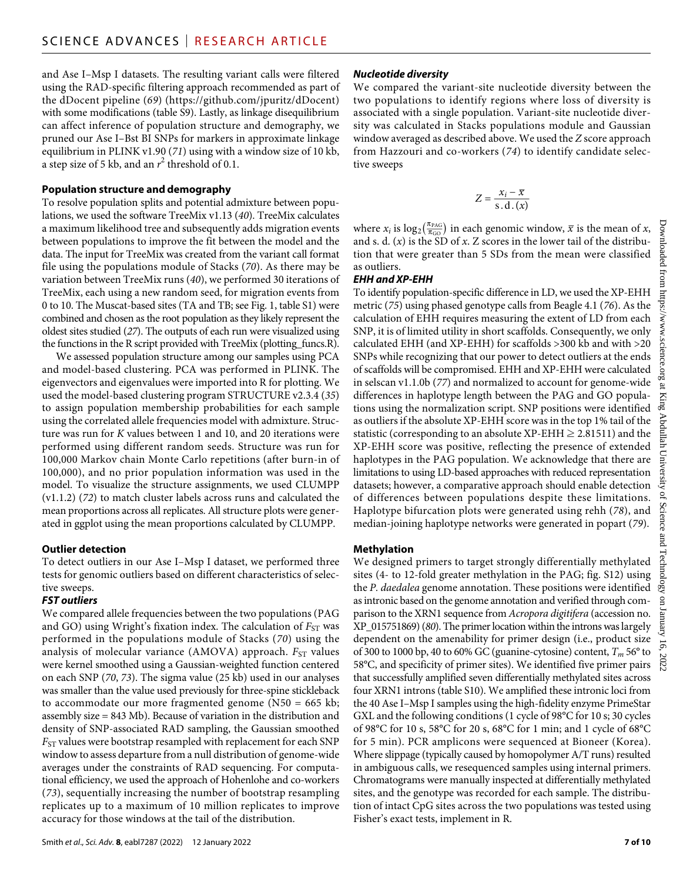and Ase I–Msp I datasets. The resulting variant calls were filtered using the RAD-specific filtering approach recommended as part of the dDocent pipeline (*69*) ([https://github.com/jpuritz/dDocent\)](https://github.com/jpuritz/dDocent) with some modifications (table S9). Lastly, as linkage disequilibrium can affect inference of population structure and demography, we pruned our Ase I–Bst BI SNPs for markers in approximate linkage equilibrium in PLINK v1.90 (*71*) using with a window size of 10 kb, a step size of 5 kb, and an  $r^2$  threshold of 0.1.

#### **Population structure and demography**

To resolve population splits and potential admixture between populations, we used the software TreeMix v1.13 (*40*). TreeMix calculates a maximum likelihood tree and subsequently adds migration events between populations to improve the fit between the model and the data. The input for TreeMix was created from the variant call format file using the populations module of Stacks (*70*). As there may be variation between TreeMix runs (*40*), we performed 30 iterations of TreeMix, each using a new random seed, for migration events from 0 to 10. The Muscat-based sites (TA and TB; see Fig. 1, table S1) were combined and chosen as the root population as they likely represent the oldest sites studied (*27*). The outputs of each run were visualized using the functions in the R script provided with TreeMix (plotting\_funcs.R).

We assessed population structure among our samples using PCA and model-based clustering. PCA was performed in PLINK. The eigenvectors and eigenvalues were imported into R for plotting. We used the model-based clustering program STRUCTURE v2.3.4 (*35*) to assign population membership probabilities for each sample using the correlated allele frequencies model with admixture. Structure was run for *K* values between 1 and 10, and 20 iterations were performed using different random seeds. Structure was run for 100,000 Markov chain Monte Carlo repetitions (after burn-in of 100,000), and no prior population information was used in the model. To visualize the structure assignments, we used CLUMPP (v1.1.2) (*72*) to match cluster labels across runs and calculated the mean proportions across all replicates. All structure plots were generated in ggplot using the mean proportions calculated by CLUMPP.

#### **Outlier detection**

To detect outliers in our Ase I–Msp I dataset, we performed three tests for genomic outliers based on different characteristics of selective sweeps.

#### *FST outliers*

We compared allele frequencies between the two populations (PAG and GO) using Wright's fixation index. The calculation of  $F_{ST}$  was performed in the populations module of Stacks (*70*) using the analysis of molecular variance (AMOVA) approach. *F<sub>ST</sub>* values were kernel smoothed using a Gaussian-weighted function centered on each SNP (*70*, *73*). The sigma value (25 kb) used in our analyses was smaller than the value used previously for three-spine stickleback to accommodate our more fragmented genome (N50 = 665 kb; assembly size = 843 Mb). Because of variation in the distribution and density of SNP-associated RAD sampling, the Gaussian smoothed  $F_{ST}$  values were bootstrap resampled with replacement for each SNP window to assess departure from a null distribution of genome-wide averages under the constraints of RAD sequencing. For computational efficiency, we used the approach of Hohenlohe and co-workers (*73*), sequentially increasing the number of bootstrap resampling replicates up to a maximum of 10 million replicates to improve accuracy for those windows at the tail of the distribution.

#### *Nucleotide diversity*

We compared the variant-site nucleotide diversity between the two populations to identify regions where loss of diversity is associated with a single population. Variant-site nucleotide diversity was calculated in Stacks populations module and Gaussian window averaged as described above. We used the *Z* score approach from Hazzouri and co-workers (*74*) to identify candidate selective sweeps

$$
Z = \frac{x_i - \overline{x}}{s \cdot d \cdot (x)}
$$

where  $x_i$  is  $\log_2(\frac{\pi_{PAG}}{\pi_{GO}})$  in each genomic window,  $\bar{x}$  is the mean of *x*, and s. d.  $(x)$  is the SD of  $x$ . Z scores in the lower tail of the distribution that were greater than 5 SDs from the mean were classified as outliers.

#### *EHH and XP-EHH*

To identify population-specific difference in LD, we used the XP-EHH metric (*75*) using phased genotype calls from Beagle 4.1 (*76*). As the calculation of EHH requires measuring the extent of LD from each SNP, it is of limited utility in short scaffolds. Consequently, we only calculated EHH (and XP-EHH) for scaffolds >300 kb and with >20 SNPs while recognizing that our power to detect outliers at the ends of scaffolds will be compromised. EHH and XP-EHH were calculated in selscan v1.1.0b (*77*) and normalized to account for genome-wide differences in haplotype length between the PAG and GO populations using the normalization script. SNP positions were identified as outliers if the absolute XP-EHH score was in the top 1% tail of the statistic (corresponding to an absolute XP-EHH  $\geq$  2.81511) and the XP-EHH score was positive, reflecting the presence of extended haplotypes in the PAG population. We acknowledge that there are limitations to using LD-based approaches with reduced representation datasets; however, a comparative approach should enable detection of differences between populations despite these limitations. Haplotype bifurcation plots were generated using rehh (*78*), and median-joining haplotype networks were generated in popart (*79*).

#### **Methylation**

We designed primers to target strongly differentially methylated sites (4- to 12-fold greater methylation in the PAG; fig. S12) using the *P. daedalea* genome annotation. These positions were identified as intronic based on the genome annotation and verified through comparison to the XRN1 sequence from *Acropora digitifera* (accession no. XP\_015751869) (*80*). The primer location within the introns was largely dependent on the amenability for primer design (i.e., product size of 300 to 1000 bp, 40 to 60% GC (guanine-cytosine) content, *Tm* 56° to 58°C, and specificity of primer sites). We identified five primer pairs that successfully amplified seven differentially methylated sites across four XRN1 introns (table S10). We amplified these intronic loci from the 40 Ase I–Msp I samples using the high-fidelity enzyme PrimeStar GXL and the following conditions (1 cycle of 98°C for 10 s; 30 cycles of 98°C for 10 s, 58°C for 20 s, 68°C for 1 min; and 1 cycle of 68°C for 5 min). PCR amplicons were sequenced at Bioneer (Korea). Where slippage (typically caused by homopolymer A/T runs) resulted in ambiguous calls, we resequenced samples using internal primers. Chromatograms were manually inspected at differentially methylated sites, and the genotype was recorded for each sample. The distribution of intact CpG sites across the two populations was tested using Fisher's exact tests, implement in R.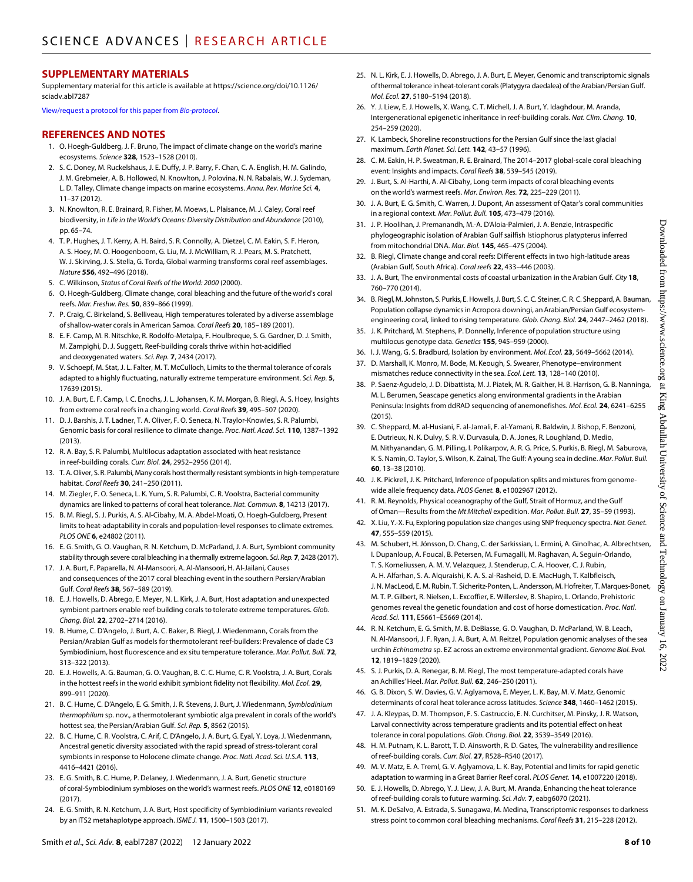## **SUPPLEMENTARY MATERIALS**

Supplementary material for this article is available at [https://science.org/doi/10.1126/](https://science.org/doi/10.1126/sciadv.abl7287) [sciadv.abl7287](https://science.org/doi/10.1126/sciadv.abl7287)

[View/request a protocol for this paper from](https://en.bio-protocol.org/cjrap.aspx?eid=10.1126/sciadv.abl7287) *Bio-protocol*.

#### **REFERENCES AND NOTES**

- 1. O. Hoegh-Guldberg, J. F. Bruno, The impact of climate change on the world's marine ecosystems. *Science* **328**, 1523–1528 (2010).
- 2. S. C. Doney, M. Ruckelshaus, J. E. Duffy, J. P. Barry, F. Chan, C. A. English, H. M. Galindo, J. M. Grebmeier, A. B. Hollowed, N. Knowlton, J. Polovina, N. N. Rabalais, W. J. Sydeman, L. D. Talley, Climate change impacts on marine ecosystems. *Annu. Rev. Marine Sci.* **4**, 11–37 (2012).
- 3. N. Knowlton, R. E. Brainard, R. Fisher, M. Moews, L. Plaisance, M. J. Caley, Coral reef biodiversity, in *Life in the World's Oceans: Diversity Distribution and Abundance* (2010), pp. 65–74.
- 4. T. P. Hughes, J. T. Kerry, A. H. Baird, S. R. Connolly, A. Dietzel, C. M. Eakin, S. F. Heron, A. S. Hoey, M. O. Hoogenboom, G. Liu, M. J. McWilliam, R. J. Pears, M. S. Pratchett, W. J. Skirving, J. S. Stella, G. Torda, Global warming transforms coral reef assemblages. *Nature* **556**, 492–496 (2018).
- 5. C. Wilkinson, *Status of Coral Reefs of the World: 2000* (2000).
- 6. O. Hoegh-Guldberg, Climate change, coral bleaching and the future of the world's coral reefs. *Mar. Freshw. Res.* **50**, 839–866 (1999).
- 7. P. Craig, C. Birkeland, S. Belliveau, High temperatures tolerated by a diverse assemblage ofshallow-water corals in American Samoa. *Coral Reefs* **20**, 185–189 (2001).
- 8. E. F. Camp, M. R. Nitschke, R. Rodolfo-Metalpa, F. Houlbreque, S. G. Gardner, D. J. Smith, M. Zampighi, D. J. Suggett, Reef-building corals thrive within hot-acidified and deoxygenated waters. *Sci. Rep.* **7**, 2434 (2017).
- 9. V. Schoepf, M. Stat, J. L. Falter, M. T. McCulloch, Limits to the thermal tolerance of corals adapted to a highly fluctuating, naturally extreme temperature environment. *Sci. Rep.* **5**, 17639 (2015).
- 10. J. A. Burt, E. F. Camp, I. C. Enochs, J. L. Johansen, K. M. Morgan, B. Riegl, A. S. Hoey, Insights from extreme coral reefs in a changing world. *Coral Reefs* **39**, 495–507 (2020).
- 11. D. J. Barshis, J. T. Ladner, T. A. Oliver, F. O. Seneca, N. Traylor-Knowles, S. R. Palumbi, Genomic basis for coral resilience to climate change. *Proc. Natl. Acad. Sci.* **110**, 1387–1392 (2013).
- 12. R. A. Bay, S. R. Palumbi, Multilocus adaptation associated with heat resistance in reef-building corals. *Curr. Biol.* **24**, 2952–2956 (2014).
- 13. T. A.Oliver, S. R. Palumbi, Many corals host thermally resistant symbionts inhigh-temperature habitat. *Coral Reefs* **30**, 241–250 (2011).
- 14. M. Ziegler, F. O. Seneca, L. K. Yum, S. R. Palumbi, C. R. Voolstra, Bacterial community dynamics are linked to patterns of coral heat tolerance. *Nat. Commun.* **8**, 14213 (2017).
- 15. B. M. Riegl, S. J. Purkis, A. S. Al-Cibahy, M. A. Abdel-Moati, O. Hoegh-Guldberg, Present limits to heat-adaptability in corals and population-level responses to climate extremes. *PLOS ONE* **6**, e24802 (2011).
- 16. E. G. Smith, G. O. Vaughan, R. N. Ketchum, D. McParland, J. A. Burt, Symbiont community stability through severe coral bleaching in a thermally extreme lagoon. *Sci. Rep.* 7, 2428 (2017).
- 17. J. A. Burt, F. Paparella, N. Al-Mansoori, A. Al-Mansoori, H. Al-Jailani, Causes and consequences of the 2017 coral bleaching event in the southern Persian/Arabian Gulf. *Coral Reefs* **38**, 567–589 (2019).
- 18. E. J. Howells, D. Abrego, E. Meyer, N. L. Kirk, J. A. Burt, Host adaptation and unexpected symbiont partners enable reef-building corals to tolerate extreme temperatures. *Glob. Chang. Biol.* **22**, 2702–2714 (2016).
- 19. B. Hume, C. D'Angelo, J. Burt, A. C. Baker, B. Riegl, J. Wiedenmann, Corals from the Persian/Arabian Gulf as models for thermotolerant reef-builders: Prevalence of clade C3 Symbiodinium, host fluorescence and ex situ temperature tolerance. *Mar. Pollut. Bull.* **72**, 313–322 (2013).
- 20. E. J. Howells, A. G. Bauman, G. O. Vaughan, B. C. C. Hume, C. R. Voolstra, J. A. Burt, Corals in the hottest reefs in the world exhibit symbiont fidelity not flexibility. *Mol. Ecol.* **29**, 899–911 (2020).
- 21. B. C. Hume, C. D'Angelo, E. G. Smith, J. R. Stevens, J. Burt, J. Wiedenmann, *Symbiodinium thermophilum* sp. nov., a thermotolerant symbiotic alga prevalent in corals of the world's hottest sea, the Persian/Arabian Gulf. *Sci. Rep.* **5**, 8562 (2015).
- 22. B. C. Hume, C. R. Voolstra, C. Arif, C. D'Angelo, J. A. Burt, G. Eyal, Y. Loya, J. Wiedenmann, Ancestral genetic diversity associated with the rapid spread of stress-tolerant coral symbionts in response to Holocene climate change. *Proc. Natl. Acad. Sci. U.S.A.* **113**, 4416–4421 (2016).
- 23. E. G. Smith, B. C. Hume, P. Delaney, J. Wiedenmann, J. A. Burt, Genetic structure of coral-Symbiodinium symbioses on the world's warmest reefs. *PLOS ONE* **12**, e0180169  $(2017)$
- 24. E. G. Smith, R. N. Ketchum, J. A. Burt, Host specificity of Symbiodinium variants revealed by an ITS2 metahaplotype approach. *ISME J.* **11**, 1500–1503 (2017).
- 25. N. L. Kirk, E. J. Howells, D. Abrego, J. A. Burt, E. Meyer, Genomic and transcriptomic signals of thermal tolerance in heat-tolerant corals (Platygyra daedalea) of the Arabian/Persian Gulf. *Mol. Ecol.* **27**, 5180–5194 (2018).
- 26. Y. J. Liew, E. J. Howells, X. Wang, C. T. Michell, J. A. Burt, Y. Idaghdour, M. Aranda, Intergenerational epigenetic inheritance in reef-building corals. *Nat. Clim. Chang.* **10**, 254–259 (2020).
- 27. K. Lambeck, Shoreline reconstructions for the Persian Gulf since the last glacial maximum. *Earth Planet. Sci. Lett.* **142**, 43–57 (1996).
- 28. C. M. Eakin, H. P. Sweatman, R. E. Brainard, The 2014–2017 global-scale coral bleaching event: Insights and impacts. *Coral Reefs* **38**, 539–545 (2019).
- J. Burt, S. Al-Harthi, A. Al-Cibahy, Long-term impacts of coral bleaching events on the world's warmest reefs. *Mar. Environ. Res.* **72**, 225–229 (2011).
- 30. J. A. Burt, E. G. Smith, C. Warren, J. Dupont, An assessment ofQatar's coral communities in a regional context. *Mar. Pollut. Bull.* **105**, 473–479 (2016).
- 31. J. P. Hoolihan, J. Premanandh, M.-A. D'Aloia-Palmieri, J. A. Benzie, Intraspecific phylogeographic isolation of Arabian Gulf sailfish Istiophorus platypterus inferred from mitochondrial DNA. *Mar. Biol.* **145**, 465–475 (2004).
- 32. B. Riegl, Climate change and coral reefs: Different effects in two high-latitude areas (Arabian Gulf, South Africa). *Coral reefs* **22**, 433–446 (2003).
- 33. J. A. Burt, The environmental costs of coastal urbanization in the Arabian Gulf. *City* **18**, 760–770 (2014).
- 34. B. Riegl, M.Johnston, S. Purkis, E. Howells, J. Burt, S. C. C. Steiner, C. R. C. Sheppard, A. Bauman, Population collapse dynamics in Acropora downingi, an Arabian/Persian Gulf ecosystemengineering coral, linked to rising temperature. *Glob. Chang. Biol.* **24**, 2447–2462 (2018).
- 35. J. K. Pritchard, M. Stephens, P. Donnelly, Inference of population structure using multilocus genotype data. *Genetics* **155**, 945–959 (2000).
- 36. I. J. Wang, G. S. Bradburd, Isolation by environment. *Mol. Ecol.* **23**, 5649–5662 (2014).
- 37. D. Marshall, K. Monro, M. Bode, M. Keough, S. Swearer, Phenotype–environment mismatches reduce connectivity in the sea. *Ecol. Lett.* **13**, 128–140 (2010).
- 38. P. Saenz-Agudelo, J. D. Dibattista, M. J. Piatek, M. R. Gaither, H. B. Harrison, G. B. Nanninga, M. L. Berumen, Seascape genetics along environmental gradients in the Arabian Peninsula: Insights from ddRAD sequencing of anemonefishes. *Mol. Ecol.* **24**, 6241–6255  $(2015)$
- 39. C. Sheppard, M. al-Husiani, F. al-Jamali, F. al-Yamani, R. Baldwin, J. Bishop, F. Benzoni, E. Dutrieux, N. K. Dulvy, S. R. V. Durvasula, D. A. Jones, R. Loughland, D. Medio, M. Nithyanandan, G. M. Pilling, I. Polikarpov, A. R. G. Price, S. Purkis, B. Riegl, M. Saburova, K. S. Namin, O. Taylor, S. Wilson, K. Zainal, The Gulf: Ayoung sea in decline. *Mar. Pollut. Bull.* **60**, 13–38 (2010).
- 40. J. K. Pickrell, J. K. Pritchard, Inference of population splits and mixtures from genomewide allele frequency data. *PLOS Genet.* **8**, e1002967 (2012).
- 41. R. M. Reynolds, Physical oceanography of the Gulf, Strait of Hormuz, and the Gulf ofOman—Results from the *Mt Mitchell* expedition. *Mar. Pollut. Bull.* **27**, 35–59 (1993).
- 42. X. Liu, Y.-X. Fu, Exploring population size changes using SNP frequency spectra. *Nat. Genet.* **47**, 555–559 (2015).
- 43. M. Schubert, H. Jónsson, D. Chang, C. der Sarkissian, L. Ermini, A. Ginolhac, A. Albrechtsen, I. Dupanloup, A. Foucal, B. Petersen, M. Fumagalli, M. Raghavan, A. Seguin-Orlando, T. S. Korneliussen, A. M. V. Velazquez, J. Stenderup, C. A. Hoover, C. J. Rubin, A. H. Alfarhan, S. A. Alquraishi, K. A. S. al-Rasheid, D. E. MacHugh, T. Kalbfleisch, J. N. MacLeod, E. M. Rubin, T. Sicheritz-Ponten, L. Andersson, M. Hofreiter, T. Marques-Bonet, M. T. P. Gilbert, R. Nielsen, L. Excoffier, E. Willerslev, B. Shapiro, L. Orlando, Prehistoric genomes reveal the genetic foundation and cost of horse domestication. *Proc. Natl. Acad. Sci.* **111**, E5661–E5669 (2014).
- 44. R. N. Ketchum, E. G. Smith, M. B. DeBiasse, G. O. Vaughan, D. McParland, W. B. Leach, N. Al-Mansoori, J. F. Ryan, J. A. Burt, A. M. Reitzel, Population genomic analyses of the sea urchin *Echinometra* sp. EZ across an extreme environmental gradient. *Genome Biol. Evol.* **12**, 1819–1829 (2020).
- 45. S. J. Purkis, D. A. Renegar, B. M. Riegl, The most temperature-adapted corals have an Achilles' Heel. *Mar. Pollut. Bull.* **62**, 246–250 (2011).
- 46. G. B. Dixon, S. W. Davies, G. V. Aglyamova, E. Meyer, L. K. Bay, M. V. Matz, Genomic determinants of coral heat tolerance across latitudes. *Science* **348**, 1460–1462 (2015).
- 47. J. A. Kleypas, D. M. Thompson, F. S. Castruccio, E. N. Curchitser, M. Pinsky, J. R. Watson, Larval connectivity across temperature gradients and its potential effect on heat tolerance in coral populations. *Glob. Chang. Biol.* **22**, 3539–3549 (2016).
- 48. H. M. Putnam, K. L. Barott, T. D. Ainsworth, R. D. Gates, The vulnerability and resilience of reef-building corals. *Curr. Biol.* **27**, R528–R540 (2017).
- 49. M. V. Matz, E. A. Treml, G. V. Aglyamova, L. K. Bay, Potential and limits for rapid genetic adaptation to warming in a Great Barrier Reef coral. *PLOS Genet.* **14**, e1007220 (2018).
- 50. E. J. Howells, D. Abrego, Y. J. Liew, J. A. Burt, M. Aranda, Enhancing the heat tolerance of reef-building corals to future warming. *Sci. Adv.* **7**, eabg6070 (2021).
- 51. M. K. DeSalvo, A. Estrada, S. Sunagawa, M. Medina, Transcriptomic responses to darkness stress point to common coral bleaching mechanisms. *Coral Reefs* **31**, 215–228 (2012).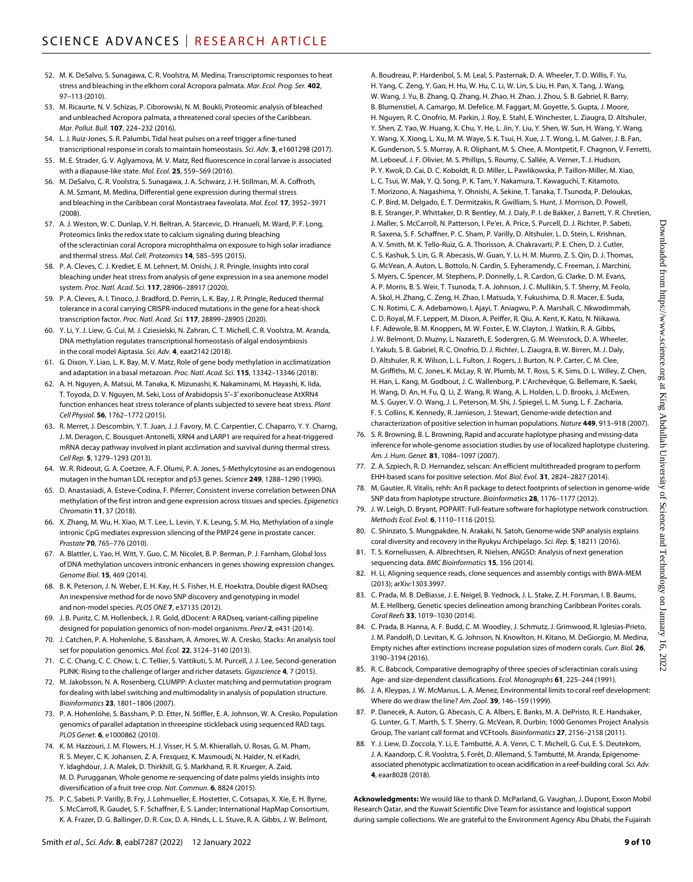- 52. M. K. DeSalvo, S. Sunagawa, C. R. Voolstra, M. Medina, Transcriptomic responses to heat stress and bleaching in the elkhorn coral Acropora palmata. *Mar. Ecol. Prog. Ser.* **402**, 97–113 (2010).
- 53. M. Ricaurte, N. V. Schizas, P. Ciborowski, N. M. Boukli, Proteomic analysis of bleached and unbleached Acropora palmata, a threatened coral species of the Caribbean. *Mar. Pollut. Bull.* **107**, 224–232 (2016).
- 54. L. J. Ruiz-Jones, S. R. Palumbi, Tidal heat pulses on a reef trigger a fine-tuned transcriptional response in corals to maintain homeostasis. *Sci. Adv.* **3**, e1601298 (2017). 55. M. E. Strader, G. V. Aglyamova, M. V. Matz, Red fluorescence in coral larvae is associated
- with a diapause-like state. *Mol. Ecol.* **25**, 559–569 (2016).
- 56. M. DeSalvo, C. R. Voolstra, S. Sunagawa, J. A. Schwarz, J. H. Stillman, M. A. Coffroth, A. M. Szmant, M. Medina, Differential gene expression during thermal stress and bleaching in the Caribbean coral Montastraea faveolata. *Mol. Ecol.* **17**, 3952–3971 (2008).
- 57. A. J. Weston, W. C. Dunlap, V. H. Beltran, A. Starcevic, D. Hranueli, M. Ward, P. F. Long, Proteomics links the redox state to calcium signaling during bleaching of the scleractinian coral Acropora microphthalma on exposure to high solar irradiance and thermal stress. *Mol. Cell. Proteomics* **14**, 585–595 (2015).
- 58. P. A. Cleves, C. J. Krediet, E. M. Lehnert, M. Onishi, J. R. Pringle, Insights into coral bleaching under heat stress from analysis of gene expression in a sea anemone model system. *Proc. Natl. Acad. Sci.* **117**, 28906–28917 (2020).
- 59. P. A. Cleves, A. I. Tinoco, J. Bradford, D. Perrin, L. K. Bay, J. R. Pringle, Reduced thermal tolerance in a coral carrying CRISPR-induced mutations in the gene for a heat-shock transcription factor. *Proc. Natl. Acad. Sci.* **117**, 28899–28905 (2020).
- 60. Y. Li, Y. J. Liew, G. Cui, M. J. Cziesielski, N. Zahran, C. T. Michell, C. R. Voolstra, M. Aranda, DNA methylation regulates transcriptional homeostasis of algal endosymbiosis in the coral model Aiptasia. *Sci. Adv.* **4**, eaat2142 (2018).
- 61. G. Dixon, Y. Liao, L. K. Bay, M. V. Matz, Role of gene body methylation in acclimatization and adaptation in a basal metazoan. *Proc. Natl. Acad. Sci.* **115**, 13342–13346 (2018).
- 62. A. H. Nguyen, A. Matsui, M. Tanaka, K. Mizunashi, K. Nakaminami, M. Hayashi, K. Iida, T. Toyoda, D. V. Nguyen, M. Seki, Loss of Arabidopsis 5′–3′ exoribonuclease AtXRN4 function enhances heat stress tolerance of plants subjected to severe heat stress. *Plant Cell Physiol.* **56**, 1762–1772 (2015).
- 63. R. Merret, J. Descombin, Y. T. Juan, J. J. Favory, M. C. Carpentier, C. Chaparro, Y. Y. Charng, J. M. Deragon, C. Bousquet-Antonelli, XRN4 and LARP1 are required for a heat-triggered mRNA decay pathway involved in plant acclimation and survival during thermal stress. *Cell Rep.* **5**, 1279–1293 (2013).
- 64. W. R. Rideout, G. A. Coetzee, A. F. Olumi, P. A. Jones, 5-Methylcytosine as an endogenous mutagen in the human LDL receptor and p53 genes. *Science* **249**, 1288–1290 (1990).
- 65. D. Anastasiadi, A. Esteve-Codina, F. Piferrer, Consistent inverse correlation between DNA methylation of the first intron and gene expression across tissues and species. *Epigenetics Chromatin* **11**, 37 (2018).
- 66. X. Zhang, M. Wu, H. Xiao, M. T. Lee, L. Levin, Y. K. Leung, S. M. Ho, Methylation of a single intronic CpG mediates expression silencing of the PMP24 gene in prostate cancer. *Prostate* **70**, 765–776 (2010).
- 67. A. Blattler, L. Yao, H. Witt, Y. Guo, C. M. Nicolet, B. P. Berman, P. J. Farnham, Global loss of DNA methylation uncovers intronic enhancers in genes showing expression changes. *Genome Biol.* **15**, 469 (2014).
- 68. B. K. Peterson, J. N. Weber, E. H. Kay, H. S. Fisher, H. E. Hoekstra, Double digest RADseq: An inexpensive method for de novo SNP discovery and genotyping in model and non-model species. *PLOS ONE* **7**, e37135 (2012).
- 69. J. B. Puritz, C. M. Hollenbeck, J. R. Gold, dDocent: A RADseq, variant-calling pipeline designed for population genomics of non-model organisms. *PeerJ* **2**, e431 (2014).
- 70. J. Catchen, P. A. Hohenlohe, S. Bassham, A. Amores, W. A. Cresko, Stacks: An analysis tool set for population genomics. *Mol. Ecol.* **22**, 3124–3140 (2013).
- 71. C. C. Chang, C. C. Chow, L. C. Tellier, S. Vattikuti, S. M. Purcell, J. J. Lee, Second-generation PLINK: Rising to the challenge of larger and richer datasets. *Gigascience* **4**, 7 (2015).
- 72. M. Jakobsson, N. A. Rosenberg, CLUMPP: A cluster matching and permutation program for dealing with label switching and multimodality in analysis of population structure. *Bioinformatics* **23**, 1801–1806 (2007).
- 73. P. A. Hohenlohe, S. Bassham, P. D. Etter, N. Stiffler, E. A. Johnson, W. A. Cresko, Population genomics of parallel adaptation in threespine stickleback using sequenced RAD tags. *PLOS Genet.* **6**, e1000862 (2010).
- 74. K. M. Hazzouri, J. M. Flowers, H. J. Visser, H. S. M. Khierallah, U. Rosas, G. M. Pham, R. S. Meyer, C. K. Johansen, Z. A. Fresquez, K. Masmoudi, N. Haider, N. el Kadri, Y. Idaghdour, J. A. Malek, D. Thirkhill, G. S. Markhand, R. R. Krueger, A. Zaid, M. D. Purugganan, Whole genome re-sequencing of date palms yields insights into diversification of a fruit tree crop. *Nat. Commun.* **6**, 8824 (2015).
- 75. P. C. Sabeti, P. Varilly, B. Fry, J. Lohmueller, E. Hostetter, C. Cotsapas, X. Xie, E. H. Byrne, S. McCarroll, R. Gaudet, S. F. Schaffner, E. S. Lander; International HapMap Consortium, K. A. Frazer, D. G. Ballinger, D. R. Cox, D. A. Hinds, L. L. Stuve, R. A. Gibbs, J. W. Belmont,

A. Boudreau, P. Hardenbol, S. M. Leal, S. Pasternak, D. A. Wheeler, T. D. Willis, F. Yu, H. Yang, C. Zeng, Y. Gao, H. Hu, W. Hu, C. Li, W. Lin, S. Liu, H. Pan, X. Tang, J. Wang, W. Wang, J. Yu, B. Zhang, Q. Zhang, H. Zhao, H. Zhao, J. Zhou, S. B. Gabriel, R. Barry, B. Blumenstiel, A. Camargo, M. Defelice, M. Faggart, M. Goyette, S. Gupta, J. Moore, H. Nguyen, R. C. Onofrio, M. Parkin, J. Roy, E. Stahl, E. Winchester, L. Ziaugra, D. Altshuler, Y. Shen, Z. Yao, W. Huang, X. Chu, Y. He, L. Jin, Y. Liu, Y. Shen, W. Sun, H. Wang, Y. Wang, Y. Wang, X. Xiong, L. Xu, M. M. Waye, S. K. Tsui, H. Xue, J. T. Wong, L. M. Galver, J. B. Fan, K. Gunderson, S. S. Murray, A. R. Oliphant, M. S. Chee, A. Montpetit, F. Chagnon, V. Ferretti, M. Leboeuf, J. F. Olivier, M. S. Phillips, S. Roumy, C. Sallée, A. Verner, T. J. Hudson, P. Y. Kwok, D. Cai, D. C. Koboldt, R. D. Miller, L. Pawlikowska, P. Taillon-Miller, M. Xiao, L. C. Tsui, W. Mak, Y. Q. Song, P. K. Tam, Y. Nakamura, T. Kawaguchi, T. Kitamoto, T. Morizono, A. Nagashima, Y. Ohnishi, A. Sekine, T. Tanaka, T. Tsunoda, P. Deloukas, C. P. Bird, M. Delgado, E. T. Dermitzakis, R. Gwilliam, S. Hunt, J. Morrison, D. Powell, B. E. Stranger, P. Whittaker, D. R. Bentley, M. J. Daly, P. I. de Bakker, J. Barrett, Y. R. Chretien, J. Maller, S. McCarroll, N. Patterson, I. Pe'er, A. Price, S. Purcell, D. J. Richter, P. Sabeti, R. Saxena, S. F. Schaffner, P. C. Sham, P. Varilly, D. Altshuler, L. D. Stein, L. Krishnan, A. V. Smith, M. K. Tello-Ruiz, G. A. Thorisson, A. Chakravarti, P. E. Chen, D. J. Cutler, C. S. Kashuk, S. Lin, G. R. Abecasis, W. Guan, Y. Li, H. M. Munro, Z. S. Qin, D. J. Thomas, G. McVean, A. Auton, L. Bottolo, N. Cardin, S. Eyheramendy, C. Freeman, J. Marchini, S. Myers, C. Spencer, M. Stephens, P. Donnelly, L. R. Cardon, G. Clarke, D. M. Evans, A. P. Morris, B. S. Weir, T. Tsunoda, T. A. Johnson, J. C. Mullikin, S. T. Sherry, M. Feolo, A. Skol, H. Zhang, C. Zeng, H. Zhao, I. Matsuda, Y. Fukushima, D. R. Macer, E. Suda, C. N. Rotimi, C. A. Adebamowo, I. Ajayi, T. Aniagwu, P. A. Marshall, C. Nkwodimmah, C. D. Royal, M. F. Leppert, M. Dixon, A. Peiffer, R. Qiu, A. Kent, K. Kato, N. Niikawa, I. F. Adewole, B. M. Knoppers, M. W. Foster, E. W. Clayton, J. Watkin, R. A. Gibbs, J. W. Belmont, D. Muzny, L. Nazareth, E. Sodergren, G. M. Weinstock, D. A. Wheeler, I. Yakub, S. B. Gabriel, R. C. Onofrio, D. J. Richter, L. Ziaugra, B. W. Birren, M. J. Daly, D. Altshuler, R. K. Wilson, L. L. Fulton, J. Rogers, J. Burton, N. P. Carter, C. M. Clee, M. Griffiths, M. C. Jones, K. McLay, R. W. Plumb, M. T. Ross, S. K. Sims, D. L. Willey, Z. Chen, H. Han, L. Kang, M. Godbout, J. C. Wallenburg, P. L'Archevêque, G. Bellemare, K. Saeki, H. Wang, D. An, H. Fu, Q. Li, Z. Wang, R. Wang, A. L. Holden, L. D. Brooks, J. McEwen, M. S. Guyer, V. O. Wang, J. L. Peterson, M. Shi, J. Spiegel, L. M. Sung, L. F. Zacharia, F. S. Collins, K. Kennedy, R. Jamieson, J. Stewart, Genome-wide detection and

- characterization of positive selection in human populations. *Nature* **449**, 913–918 (2007). 76. S. R. Browning, B. L. Browning, Rapid and accurate haplotype phasing and missing-data inference for whole-genome association studies by use of localized haplotype clustering. *Am. J. Hum. Genet.* **81**, 1084–1097 (2007).
- 77. Z. A. Szpiech, R. D. Hernandez, selscan: An efficient multithreaded program to perform EHH-based scans for positive selection. *Mol. Biol. Evol.* **31**, 2824–2827 (2014).
- 78. M. Gautier, R. Vitalis, rehh: An R package to detect footprints of selection in genome-wide SNP data from haplotype structure. *Bioinformatics* **28**, 1176–1177 (2012).
- 79. J. W. Leigh, D. Bryant, POPART: Full-feature software for haplotype network construction. *Methods Ecol. Evol.* **6**, 1110–1116 (2015).
- 80. C. Shinzato, S. Mungpakdee, N. Arakaki, N. Satoh, Genome-wide SNP analysis explains coral diversity and recovery in the Ryukyu Archipelago. *Sci. Rep.* **5**, 18211 (2016).
- 81. T. S. Korneliussen, A. Albrechtsen, R. Nielsen, ANGSD: Analysis of next generation sequencing data. *BMC Bioinformatics* **15**, 356 (2014).
- 82. H. Li, Aligning sequence reads, clone sequences and assembly contigs with BWA-MEM (2013); arXiv:[1303.3997.](https://arxiv.org/abs/1303.3997)
- 83. C. Prada, M. B. DeBiasse, J. E. Neigel, B. Yednock, J. L. Stake, Z. H. Forsman, I. B. Baums, M. E. Hellberg, Genetic species delineation among branching Caribbean Porites corals. *Coral Reefs* **33**, 1019–1030 (2014).
- 84. C. Prada, B. Hanna, A. F. Budd, C. M. Woodley, J. Schmutz, J. Grimwood, R. Iglesias-Prieto, J. M. Pandolfi, D. Levitan, K. G. Johnson, N. Knowlton, H. Kitano, M. DeGiorgio, M. Medina, Empty niches after extinctions increase population sizes of modern corals. *Curr. Biol.* **26**, 3190–3194 (2016).
- 85. R. C. Babcock, Comparative demography of three species of scleractinian corals using Age- and size-dependent classifications. *Ecol. Monographs* **61**, 225–244 (1991).
- 86. J. A. Kleypas, J. W. McManus, L. A. Menez, Environmental limits to coral reef development: Where do we draw the line? *Am. Zool.* **39**, 146–159 (1999).
- 87. P. Danecek, A. Auton, G. Abecasis, C. A. Albers, E. Banks, M. A. DePristo, R. E. Handsaker, G. Lunter, G. T. Marth, S. T. Sherry, G. McVean, R. Durbin; 1000 Genomes Project Analysis Group, The variant call format and VCFtools. *Bioinformatics* **27**, 2156–2158 (2011).
- 88. Y. J. Liew, D. Zoccola, Y. Li, E. Tambutté, A. A. Venn, C. T. Michell, G. Cui, E. S. Deutekom, J. A. Kaandorp, C. R. Voolstra, S. Forêt, D. Allemand, S. Tambutté, M. Aranda, Epigenomeassociated phenotypic acclimatization to ocean acidification in a reef-building coral. *Sci. Adv.* **4**, eaar8028 (2018).

**Acknowledgments:** We would like to thank D. McParland, G. Vaughan, J. Dupont, Exxon Mobil Research Qatar, and the Kuwait Scientific Dive Team for assistance and logistical support during sample collections. We are grateful to the Environment Agency Abu Dhabi, the Fujairah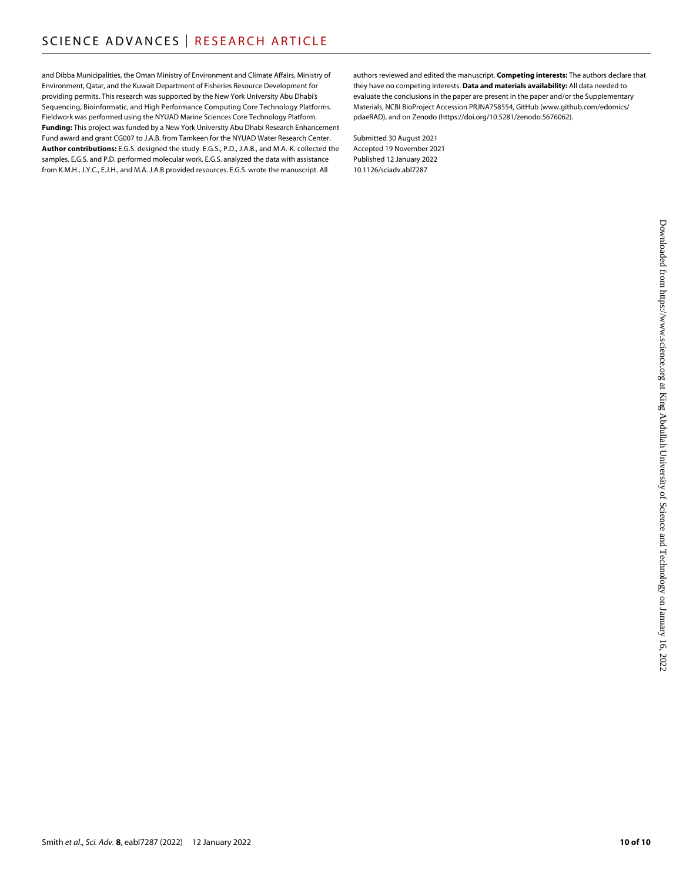and Dibba Municipalities, the Oman Ministry of Environment and Climate Affairs, Ministry of Environment, Qatar, and the Kuwait Department of Fisheries Resource Development for providing permits. This research was supported by the New York University Abu Dhabi's Sequencing, Bioinformatic, and High Performance Computing Core Technology Platforms. Fieldwork was performed using the NYUAD Marine Sciences Core Technology Platform. **Funding:** This project was funded by a New York University Abu Dhabi Research Enhancement Fund award and grant CG007 to J.A.B. from Tamkeen for the NYUAD Water Research Center. **Author contributions:** E.G.S. designed the study. E.G.S., P.D., J.A.B., and M.A.-K. collected the samples. E.G.S. and P.D. performed molecular work. E.G.S. analyzed the data with assistance from K.M.H., J.Y.C., E.J.H., and M.A. J.A.B provided resources. E.G.S. wrote the manuscript. All

authors reviewed and edited the manuscript. **Competing interests:** The authors declare that they have no competing interests. **Data and materials availability:** All data needed to evaluate the conclusions in the paper are present in the paper and/or the Supplementary Materials, NCBI BioProject Accession PRJNA758554, GitHub (www.github.com/edomics/ pdaeRAD), and on Zenodo (<https://doi.org/10.5281/zenodo.5676062>).

Submitted 30 August 2021 Accepted 19 November 2021 Published 12 January 2022 10.1126/sciadv.abl7287